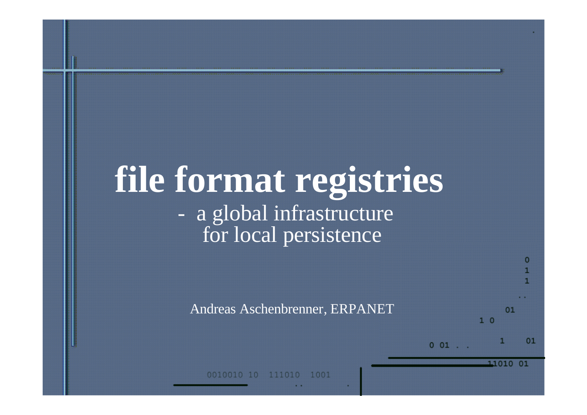# **file format registries** - a global infrastructure for local persistence

Andreas Aschenbrenner, ERPANET

 $001$ .

 $1<sup>0</sup>$ 

11010 01

 $01$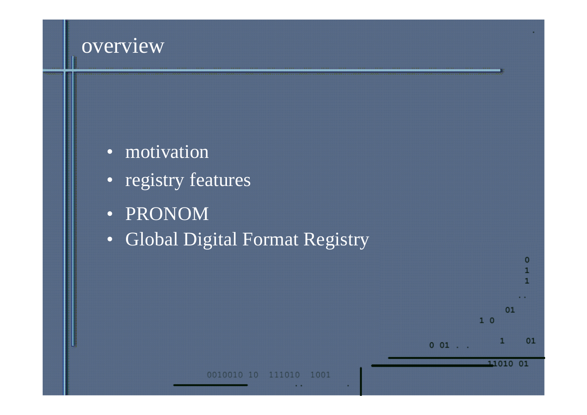#### overview

- motivation
- registry features
- PRONOM
- Global Digital Format Registry

01

1

11010 01

 $10$ 

 $0 01$  . .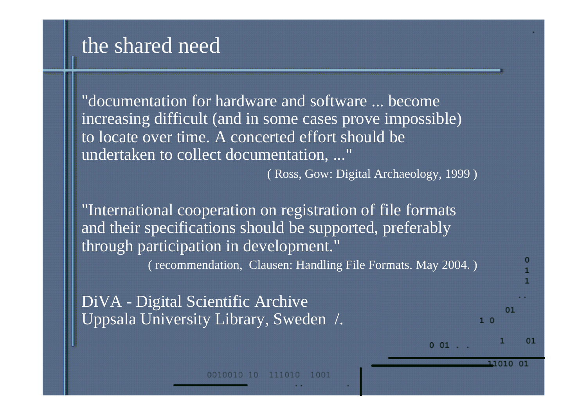#### the shared need

"documentation for hardware and software ... become increasing difficult (and in some cases prove impossible) to locate over time. A concerted effort should be undertaken to collect documentation, ..."

( Ross, Gow: Digital Archaeology, 1999 )

"International cooperation on registration of file formats and their specifications should be supported, preferably through participation in development." ( recommendation, Clausen: Handling File Formats. May 2004. )

DiVA - Digital Scientific Archive Uppsala University Library, Sweden /.

 $001$ .

01

11010 01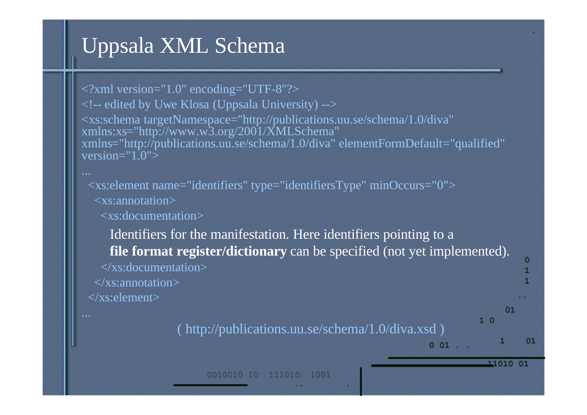# Uppsala XML Schema

<?xml version="1.0" encoding="UTF-8"?>  $\lt$ !-- edited by Uwe Klosa (Uppsala University) --> <xs:schema targetNamespace="http://publications.uu.se/schema/1.0/diva" xmlns:xs="http://www.w3.org/2001/XMLSchema" xmlns="http://publications.uu.se/schema/1.0/diva" elementFormDefault="qualified" version=" $1.0$ ">

<xs:element name="identifiers" type="identifiersType" minOccurs="0">

<xs:annotation>

<xs:documentation>

Identifiers for the manifestation. Here identifiers pointing to a **file format register/dictionary** can be specified (not yet implemented). </xs:documentation>  $\langle x \rangle$ s: annotation $\langle x \rangle$ </xs:element>  $01$ 

( http://publications.uu.se/schema/1.0/diva.xsd )

 $1<sup>0</sup>$ 

 $001$ .

11010 01

0010010 10 111010 1001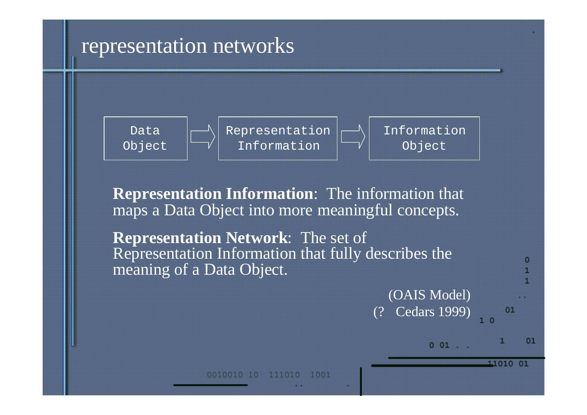#### representation networks



**Representation Information**: The information that maps a Data Object into more meaningful concepts.

**Representation Network**: The set of Representation Information that fully describes the meaning of a Data Object.

> (OAIS Model) Cedars 1999)



 $001$ 

11010 01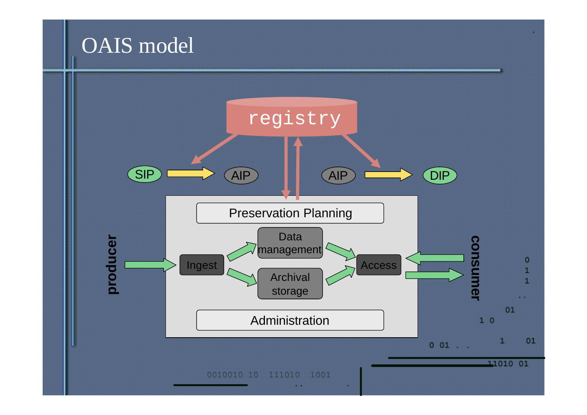### OAIS model

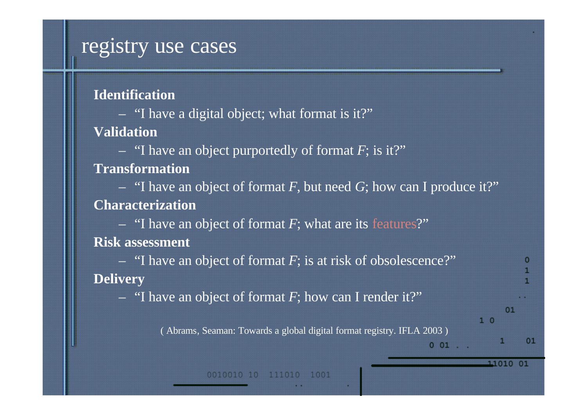#### registry use cases

|  | <b>Identification</b> |  |
|--|-----------------------|--|
|  |                       |  |

– "I have a digital object; what format is it?" **Validation**

– "I have an object purportedly of format *F*; is it?"

**Transformation**

– "I have an object of format *F*, but need *G*; how can I produce it?" **Characterization**

– "I have an object of format *F*; what are its features?"

**Risk assessment**

– "I have an object of format *F*; is at risk of obsolescence?" **Delivery**

– "I have an object of format *F*; how can I render it?"

( Abrams, Seaman: Towards a global digital format registry. IFLA 2003 )

п

 $01$ 

 $1<sub>0</sub>$ 

 $001$ .

11010 01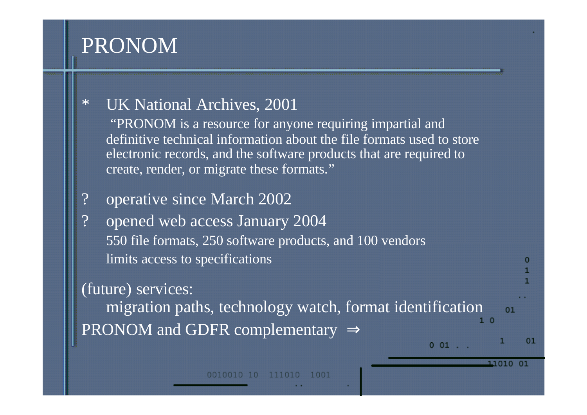### PRONOM

#### \* UK National Archives, 2001

"PRONOM is a resource for anyone requiring impartial and definitive technical information about the file formats used to store electronic records, and the software products that are required to create, render, or migrate these formats."

#### ? operative since March 2002

? opened web access January 2004 550 file formats, 250 software products, and 100 vendors limits access to specifications

(future) services: migration paths, technology watch, format identification  $01$ PRONOM and GDFR complementary  $\Rightarrow$ 

 $001$ .

11010 01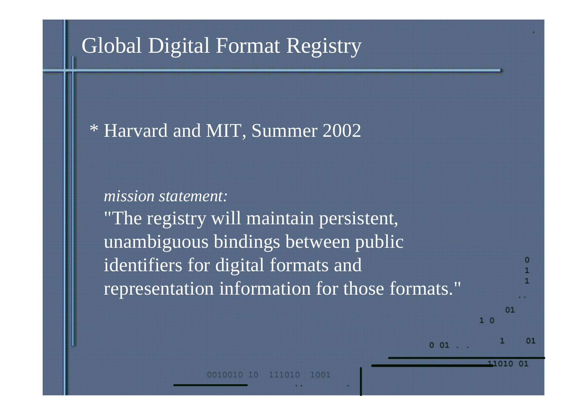### Global Digital Format Registry

#### \* Harvard and MIT, Summer 2002

## *mission statement:* "The registry will maintain persistent, unambiguous bindings between public identifiers for digital formats and representation information for those formats."

 $001$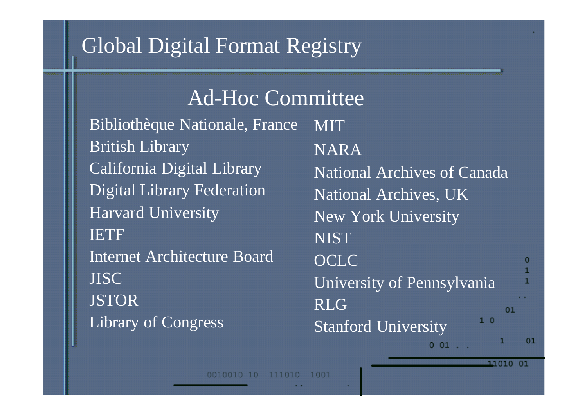### Global Digital Format Registry

Bibliothèque Nationale, France British Library California Digital Library Digital Library Federation Harvard University IETF Internet Architecture Board JISC JSTOR Library of Congress MIT NARA **NIST OCLC** RLG Ad-Hoc Committee

National Archives of Canada National Archives, UK New York University University of Pennsylvania  $01$  $1<sup>0</sup>$ Stanford University  $001$ .

11010 01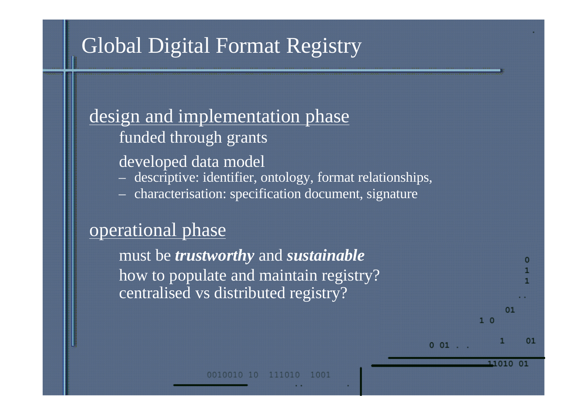## Global Digital Format Registry

design and implementation phase funded through grants

developed data model

- descriptive: identifier, ontology, format relationships,
- characterisation: specification document, signature

#### operational phase

must be *trustworthy* and *sustainable* how to populate and maintain registry? centralised vs distributed registry?

> 111010 1001

 $^{\circ}$ 

11010 01

 $1<sup>0</sup>$ 

 $001$ .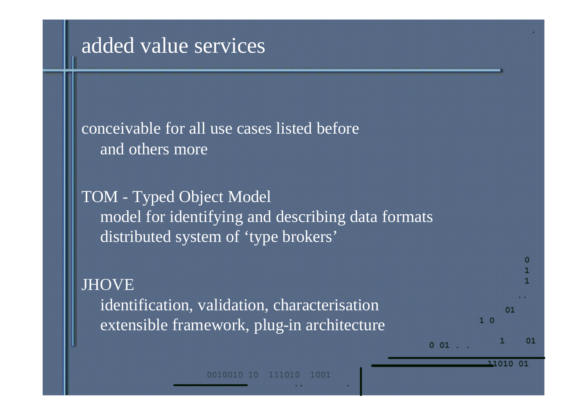#### added value services

conceivable for all use cases listed before and others more

TOM - Typed Object Model model for identifying and describing data formats distributed system of 'type brokers'

#### **JHOVE**

identification, validation, characterisation extensible framework, plug-in architecture

 $0 01$ . 11010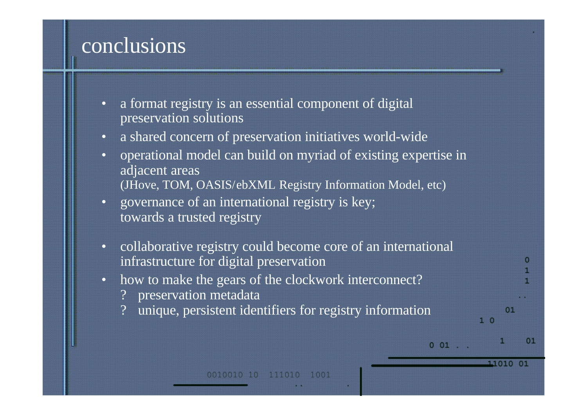### conclusions

- a format registry is an essential component of digital preservation solutions
- a shared concern of preservation initiatives world-wide
- operational model can build on myriad of existing expertise in adjacent areas (JHove, TOM, OASIS/ebXML Registry Information Model, etc)
- governance of an international registry is key; towards a trusted registry
- collaborative registry could become core of an international infrastructure for digital preservation
- how to make the gears of the clockwork interconnect?
	- preservation metadata
	- unique, persistent identifiers for registry information

11010 01

 $1<sub>0</sub>$ 

 $001$ .